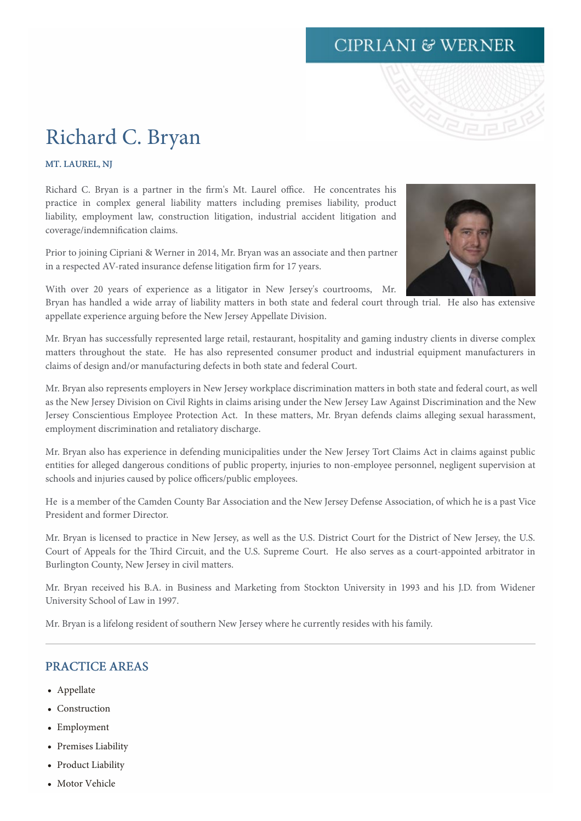# **CIPRIANI & WERNER**



# Richard C. Bryan

MT. LAUREL, NJ

Richard C. Bryan is a partner in the firm's Mt. Laurel office. He concentrates his practice in complex general liability matters including premises liability, product liability, employment law, construction litigation, industrial accident litigation and coverage/indemnification claims.

Prior to joining Cipriani & Werner in 2014, Mr. Bryan was an associate and then partner in a respected AV-rated insurance defense litigation firm for 17 years.

With over 20 years of experience as a litigator in New Jersey's courtrooms, Mr.



Bryan has handled a wide array of liability matters in both state and federal court through trial. He also has extensive appellate experience arguing before the New Jersey Appellate Division.

Mr. Bryan has successfully represented large retail, restaurant, hospitality and gaming industry clients in diverse complex matters throughout the state. He has also represented consumer product and industrial equipment manufacturers in claims of design and/or manufacturing defects in both state and federal Court.

Mr. Bryan also represents employers in New Jersey workplace discrimination matters in both state and federal court, as well as the New Jersey Division on Civil Rights in claims arising under the New Jersey Law Against Discrimination and the New Jersey Conscientious Employee Protection Act. In these matters, Mr. Bryan defends claims alleging sexual harassment, employment discrimination and retaliatory discharge.

Mr. Bryan also has experience in defending municipalities under the New Jersey Tort Claims Act in claims against public entities for alleged dangerous conditions of public property, injuries to non-employee personnel, negligent supervision at schools and injuries caused by police officers/public employees.

He is a member of the Camden County Bar Association and the New Jersey Defense Association, of which he is a past Vice President and former Director.

Mr. Bryan is licensed to practice in New Jersey, as well as the U.S. District Court for the District of New Jersey, the U.S. Court of Appeals for the Third Circuit, and the U.S. Supreme Court. He also serves as a court-appointed arbitrator in Burlington County, New Jersey in civil matters.

Mr. Bryan received his B.A. in Business and Marketing from Stockton University in 1993 and his J.D. from Widener University School of Law in 1997.

Mr. Bryan is a lifelong resident of southern New Jersey where he currently resides with his family.

#### PRACTICE AREAS

- Appellate
- Construction
- Employment
- Premises Liability
- Product Liability
- Motor Vehicle